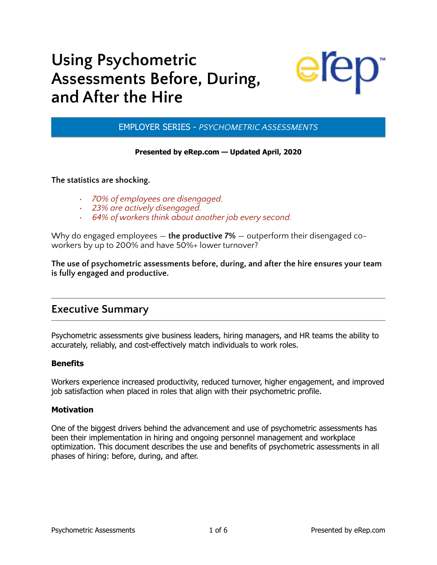# **Using Psychometric Assessments Before, During, and After the Hire**



EMPLOYER SERIES - *PSYCHOMETRIC ASSESSMENTS*

#### **Presented by eRep.com — Updated April, 2020**

**The statistics are shocking.** 

- *• 70% of employees are disengaged.*
- *• 23% are actively disengaged.*
- *• 64% of workers think about another job every second.*

Why do engaged employees — **the productive 7%** — outperform their disengaged coworkers by up to 200% and have 50%+ lower turnover?

**The use of psychometric assessments before, during, and after the hire ensures your team is fully engaged and productive.** 

### **Executive Summary**

Psychometric assessments give business leaders, hiring managers, and HR teams the ability to accurately, reliably, and cost-effectively match individuals to work roles.

#### **Benefits**

Workers experience increased productivity, reduced turnover, higher engagement, and improved job satisfaction when placed in roles that align with their psychometric profile.

#### **Motivation**

One of the biggest drivers behind the advancement and use of psychometric assessments has been their implementation in hiring and ongoing personnel management and workplace optimization. This document describes the use and benefits of psychometric assessments in all phases of hiring: before, during, and after.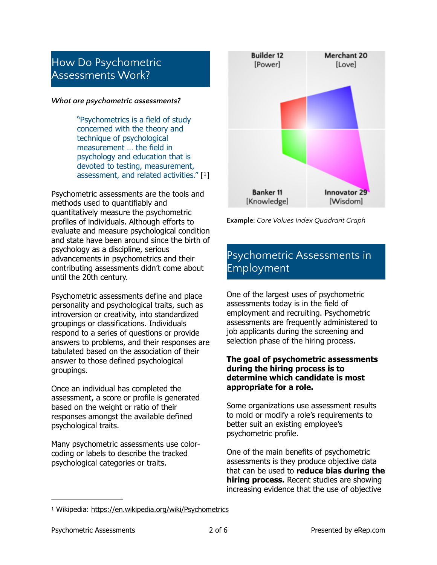### How Do Psychometric Assessments Work?

#### *What are psychometric assessments?*

"Psychometrics is a field of study concerned with the theory and technique of psychological measurement … the field in psychology and education that is devoted to testing, measurement, assessment, and related activities." [[1](#page-1-0)]

Psychometric assessments are the tools and methods used to quantifiably and quantitatively measure the psychometric profiles of individuals. Although efforts to evaluate and measure psychological condition and state have been around since the birth of psychology as a discipline, serious advancements in psychometrics and their contributing assessments didn't come about until the 20th century.

Psychometric assessments define and place personality and psychological traits, such as introversion or creativity, into standardized groupings or classifications. Individuals respond to a series of questions or provide answers to problems, and their responses are tabulated based on the association of their answer to those defined psychological groupings.

Once an individual has completed the assessment, a score or profile is generated based on the weight or ratio of their responses amongst the available defined psychological traits.

Many psychometric assessments use colorcoding or labels to describe the tracked psychological categories or traits.



<span id="page-1-1"></span>**Example:** *Core Values Index Quadrant Graph*

# Psychometric Assessments in Employment

One of the largest uses of psychometric assessments today is in the field of employment and recruiting. Psychometric assessments are frequently administered to job applicants during the screening and selection phase of the hiring process.

#### **The goal of psychometric assessments during the hiring process is to determine which candidate is most appropriate for a role.**

Some organizations use assessment results to mold or modify a role's requirements to better suit an existing employee's psychometric profile.

One of the main benefits of psychometric assessments is they produce objective data that can be used to **reduce bias during the hiring process.** Recent studies are showing increasing evidence that the use of objective

<span id="page-1-0"></span><sup>&</sup>lt;sup>1</sup> Wikipedia: <https://en.wikipedia.org/wiki/Psychometrics>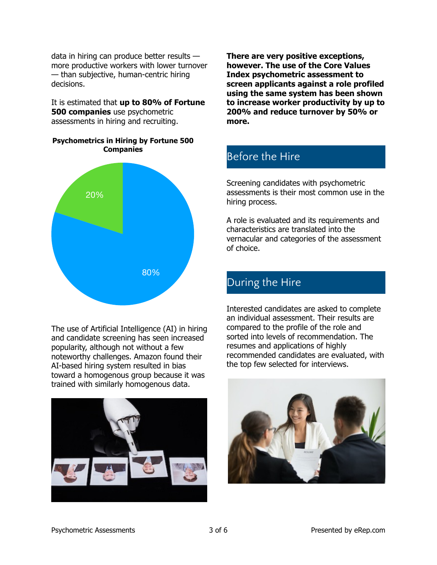data in hiring can produce better results more productive workers with lower turnover — than subjective, human-centric hiring decisions.

It is estimated that **up to 80% of Fortune 500 companies** use psychometric assessments in hiring and recruiting.

**Psychometrics in Hiring by Fortune 500 Companies**



The use of Artificial Intelligence (AI) in hiring and candidate screening has seen increased popularity, although not without a few noteworthy challenges. Amazon found their AI-based hiring system resulted in bias toward a homogenous group because it was trained with similarly homogenous data.



**There are very positive exceptions, however. The use of the Core Values Index psychometric assessment to screen applicants against a role profiled using the same system has been shown to increase worker productivity by up to 200% and reduce turnover by 50% or more.** 

## Before the Hire

Screening candidates with psychometric assessments is their most common use in the hiring process.

A role is evaluated and its requirements and characteristics are translated into the vernacular and categories of the assessment of choice.

### During the Hire

Interested candidates are asked to complete an individual assessment. Their results are compared to the profile of the role and sorted into levels of recommendation. The resumes and applications of highly recommended candidates are evaluated, with the top few selected for interviews.

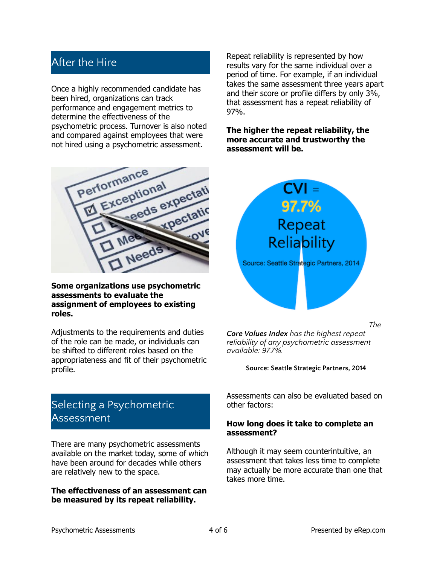### After the Hire

Once a highly recommended candidate has been hired, organizations can track performance and engagement metrics to determine the effectiveness of the psychometric process. Turnover is also noted and compared against employees that were not hired using a psychometric assessment.

Repeat reliability is represented by how results vary for the same individual over a period of time. For example, if an individual takes the same assessment three years apart and their score or profile differs by only 3%, that assessment has a repeat reliability of 97%.

**The higher the repeat reliability, the more accurate and trustworthy the assessment will be.**



#### **Some organizations use psychometric assessments to evaluate the assignment of employees to existing roles.**

Adjustments to the requirements and duties of the role can be made, or individuals can be shifted to different roles based on the appropriateness and fit of their psychometric profile.

## Selecting a Psychometric Assessment

There are many psychometric assessments available on the market today, some of which have been around for decades while others are relatively new to the space.

#### **The effectiveness of an assessment can be measured by its repeat reliability.**



*Core Values Index has the highest repeat reliability of any psychometric assessment available: 97.7%.* 

#### **Source: Seattle Strategic Partners, 2014**

Assessments can also be evaluated based on other factors:

#### **How long does it take to complete an assessment?**

Although it may seem counterintuitive, an assessment that takes less time to complete may actually be more accurate than one that takes more time.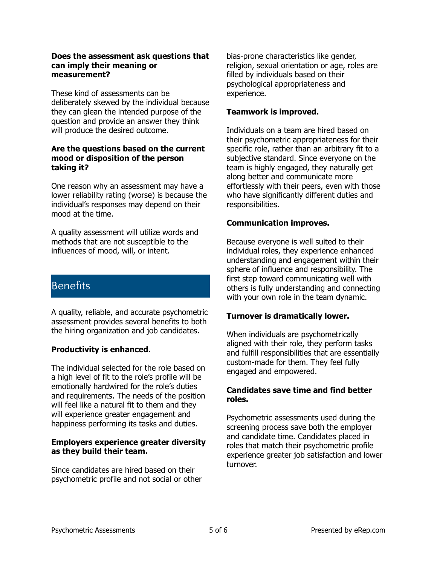#### **Does the assessment ask questions that can imply their meaning or measurement?**

These kind of assessments can be deliberately skewed by the individual because they can glean the intended purpose of the question and provide an answer they think will produce the desired outcome.

#### **Are the questions based on the current mood or disposition of the person taking it?**

One reason why an assessment may have a lower reliability rating (worse) is because the individual's responses may depend on their mood at the time.

A quality assessment will utilize words and methods that are not susceptible to the influences of mood, will, or intent.

### **Benefits**

A quality, reliable, and accurate psychometric assessment provides several benefits to both the hiring organization and job candidates.

#### **Productivity is enhanced.**

The individual selected for the role based on a high level of fit to the role's profile will be emotionally hardwired for the role's duties and requirements. The needs of the position will feel like a natural fit to them and they will experience greater engagement and happiness performing its tasks and duties.

#### **Employers experience greater diversity as they build their team.**

Since candidates are hired based on their psychometric profile and not social or other

bias-prone characteristics like gender, religion, sexual orientation or age, roles are filled by individuals based on their psychological appropriateness and experience.

#### **Teamwork is improved.**

Individuals on a team are hired based on their psychometric appropriateness for their specific role, rather than an arbitrary fit to a subjective standard. Since everyone on the team is highly engaged, they naturally get along better and communicate more effortlessly with their peers, even with those who have significantly different duties and responsibilities.

#### **Communication improves.**

Because everyone is well suited to their individual roles, they experience enhanced understanding and engagement within their sphere of influence and responsibility. The first step toward communicating well with others is fully understanding and connecting with your own role in the team dynamic.

#### **Turnover is dramatically lower.**

When individuals are psychometrically aligned with their role, they perform tasks and fulfill responsibilities that are essentially custom-made for them. They feel fully engaged and empowered.

#### **Candidates save time and find better roles.**

Psychometric assessments used during the screening process save both the employer and candidate time. Candidates placed in roles that match their psychometric profile experience greater job satisfaction and lower turnover.